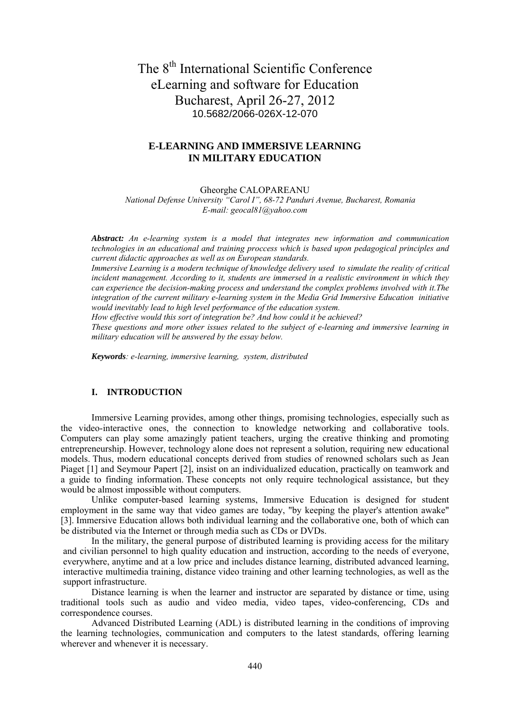# The 8<sup>th</sup> International Scientific Conference eLearning and software for Education Bucharest, April 26-27, 2012 10.5682/2066-026X-12-070

## **E-LEARNING AND IMMERSIVE LEARNING IN MILITARY EDUCATION**

Gheorghe CALOPAREANU

*National Defense University "Carol I", 68-72 Panduri Avenue, Bucharest, Romania E-mail: geocal81@yahoo.com* 

*Abstract: An e-learning system is a model that integrates new information and communication technologies in an educational and training proccess which is based upon pedagogical principles and current didactic approaches as well as on European standards.*

*Immersive Learning is a modern technique of knowledge delivery used to simulate the reality of critical incident management. According to it, students are immersed in a realistic environment in which they can experience the decision-making process and understand the complex problems involved with it.The integration of the current military e-learning system in the Media Grid Immersive Education initiative would inevitably lead to high level performance of the education system.* 

*How effective would this sort of integration be? And how could it be achieved?* 

*These questions and more other issues related to the subject of e-learning and immersive learning in military education will be answered by the essay below.* 

*Keywords: e-learning, immersive learning, system, distributed* 

#### **I. INTRODUCTION**

Immersive Learning provides, among other things, promising technologies, especially such as the video-interactive ones, the connection to knowledge networking and collaborative tools. Computers can play some amazingly patient teachers, urging the creative thinking and promoting entrepreneurship. However, technology alone does not represent a solution, requiring new educational models. Thus, modern educational concepts derived from studies of renowned scholars such as Jean Piaget [1] and Seymour Papert [2], insist on an individualized education, practically on teamwork and a guide to finding information. These concepts not only require technological assistance, but they would be almost impossible without computers.

Unlike computer-based learning systems, Immersive Education is designed for student employment in the same way that video games are today, "by keeping the player's attention awake" [3]. Immersive Education allows both individual learning and the collaborative one, both of which can be distributed via the Internet or through media such as CDs or DVDs.

In the military, the general purpose of distributed learning is providing access for the military and civilian personnel to high quality education and instruction, according to the needs of everyone, everywhere, anytime and at a low price and includes distance learning, distributed advanced learning, interactive multimedia training, distance video training and other learning technologies, as well as the support infrastructure.

Distance learning is when the learner and instructor are separated by distance or time, using traditional tools such as audio and video media, video tapes, video-conferencing, CDs and correspondence courses.

Advanced Distributed Learning (ADL) is distributed learning in the conditions of improving the learning technologies, communication and computers to the latest standards, offering learning wherever and whenever it is necessary.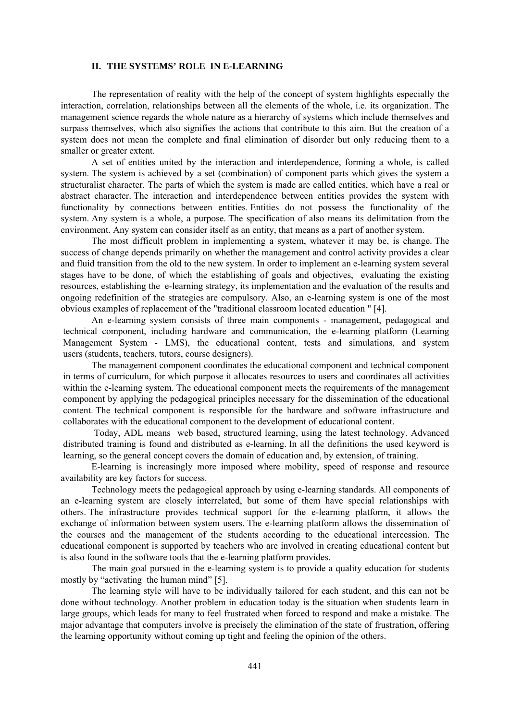### **II. THE SYSTEMS' ROLE IN E-LEARNING**

The representation of reality with the help of the concept of system highlights especially the interaction, correlation, relationships between all the elements of the whole, i.e. its organization. The management science regards the whole nature as a hierarchy of systems which include themselves and surpass themselves, which also signifies the actions that contribute to this aim. But the creation of a system does not mean the complete and final elimination of disorder but only reducing them to a smaller or greater extent.

A set of entities united by the interaction and interdependence, forming a whole, is called system. The system is achieved by a set (combination) of component parts which gives the system a structuralist character. The parts of which the system is made are called entities, which have a real or abstract character. The interaction and interdependence between entities provides the system with functionality by connections between entities. Entities do not possess the functionality of the system. Any system is a whole, a purpose. The specification of also means its delimitation from the environment. Any system can consider itself as an entity, that means as a part of another system.

The most difficult problem in implementing a system, whatever it may be, is change. The success of change depends primarily on whether the management and control activity provides a clear and fluid transition from the old to the new system. In order to implement an e-learning system several stages have to be done, of which the establishing of goals and objectives, evaluating the existing resources, establishing the e-learning strategy, its implementation and the evaluation of the results and ongoing redefinition of the strategies are compulsory. Also, an e-learning system is one of the most obvious examples of replacement of the "traditional classroom located education " [4].

An e-learning system consists of three main components - management, pedagogical and technical component, including hardware and communication, the e-learning platform (Learning Management System - LMS), the educational content, tests and simulations, and system users (students, teachers, tutors, course designers).

The management component coordinates the educational component and technical component in terms of curriculum, for which purpose it allocates resources to users and coordinates all activities within the e-learning system. The educational component meets the requirements of the management component by applying the pedagogical principles necessary for the dissemination of the educational content. The technical component is responsible for the hardware and software infrastructure and collaborates with the educational component to the development of educational content.

Today, ADL means web based, structured learning, using the latest technology. Advanced distributed training is found and distributed as e-learning. In all the definitions the used keyword is learning, so the general concept covers the domain of education and, by extension, of training.

E-learning is increasingly more imposed where mobility, speed of response and resource availability are key factors for success.

Technology meets the pedagogical approach by using e-learning standards. All components of an e-learning system are closely interrelated, but some of them have special relationships with others. The infrastructure provides technical support for the e-learning platform, it allows the exchange of information between system users. The e-learning platform allows the dissemination of the courses and the management of the students according to the educational intercession. The educational component is supported by teachers who are involved in creating educational content but is also found in the software tools that the e-learning platform provides.

The main goal pursued in the e-learning system is to provide a quality education for students mostly by "activating the human mind" [5].

The learning style will have to be individually tailored for each student, and this can not be done without technology. Another problem in education today is the situation when students learn in large groups, which leads for many to feel frustrated when forced to respond and make a mistake. The major advantage that computers involve is precisely the elimination of the state of frustration, offering the learning opportunity without coming up tight and feeling the opinion of the others.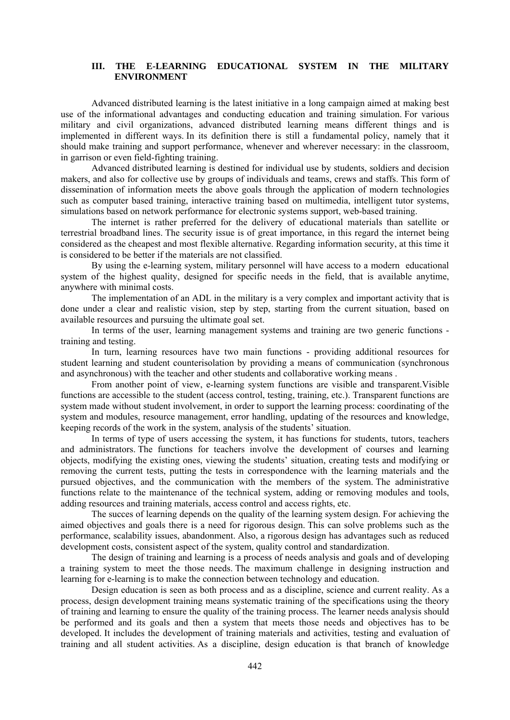### **III. THE E-LEARNING EDUCATIONAL SYSTEM IN THE MILITARY ENVIRONMENT**

Advanced distributed learning is the latest initiative in a long campaign aimed at making best use of the informational advantages and conducting education and training simulation. For various military and civil organizations, advanced distributed learning means different things and is implemented in different ways. In its definition there is still a fundamental policy, namely that it should make training and support performance, whenever and wherever necessary: in the classroom, in garrison or even field-fighting training.

Advanced distributed learning is destined for individual use by students, soldiers and decision makers, and also for collective use by groups of individuals and teams, crews and staffs. This form of dissemination of information meets the above goals through the application of modern technologies such as computer based training, interactive training based on multimedia, intelligent tutor systems, simulations based on network performance for electronic systems support, web-based training.

The internet is rather preferred for the delivery of educational materials than satellite or terrestrial broadband lines. The security issue is of great importance, in this regard the internet being considered as the cheapest and most flexible alternative. Regarding information security, at this time it is considered to be better if the materials are not classified.

 By using the e-learning system, military personnel will have access to a modern educational system of the highest quality, designed for specific needs in the field, that is available anytime, anywhere with minimal costs.

The implementation of an ADL in the military is a very complex and important activity that is done under a clear and realistic vision, step by step, starting from the current situation, based on available resources and pursuing the ultimate goal set.

In terms of the user, learning management systems and training are two generic functions training and testing.

In turn, learning resources have two main functions - providing additional resources for student learning and student counterisolation by providing a means of communication (synchronous and asynchronous) with the teacher and other students and collaborative working means .

From another point of view, e-learning system functions are visible and transparent.Visible functions are accessible to the student (access control, testing, training, etc.). Transparent functions are system made without student involvement, in order to support the learning process: coordinating of the system and modules, resource management, error handling, updating of the resources and knowledge, keeping records of the work in the system, analysis of the students' situation.

In terms of type of users accessing the system, it has functions for students, tutors, teachers and administrators. The functions for teachers involve the development of courses and learning objects, modifying the existing ones, viewing the students' situation, creating tests and modifying or removing the current tests, putting the tests in correspondence with the learning materials and the pursued objectives, and the communication with the members of the system. The administrative functions relate to the maintenance of the technical system, adding or removing modules and tools, adding resources and training materials, access control and access rights, etc.

The succes of learning depends on the quality of the learning system design. For achieving the aimed objectives and goals there is a need for rigorous design. This can solve problems such as the performance, scalability issues, abandonment. Also, a rigorous design has advantages such as reduced development costs, consistent aspect of the system, quality control and standardization.

The design of training and learning is a process of needs analysis and goals and of developing a training system to meet the those needs. The maximum challenge in designing instruction and learning for e-learning is to make the connection between technology and education.

 Design education is seen as both process and as a discipline, science and current reality. As a process, design development training means systematic training of the specifications using the theory of training and learning to ensure the quality of the training process. The learner needs analysis should be performed and its goals and then a system that meets those needs and objectives has to be developed. It includes the development of training materials and activities, testing and evaluation of training and all student activities. As a discipline, design education is that branch of knowledge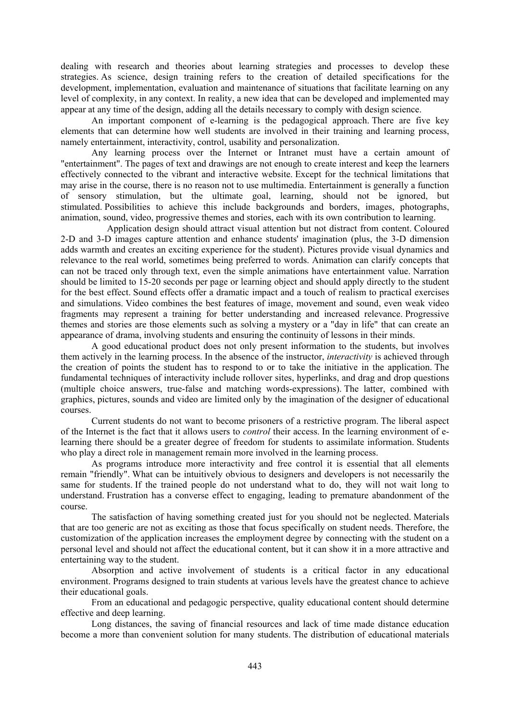dealing with research and theories about learning strategies and processes to develop these strategies. As science, design training refers to the creation of detailed specifications for the development, implementation, evaluation and maintenance of situations that facilitate learning on any level of complexity, in any context. In reality, a new idea that can be developed and implemented may appear at any time of the design, adding all the details necessary to comply with design science.

An important component of e-learning is the pedagogical approach. There are five key elements that can determine how well students are involved in their training and learning process, namely entertainment, interactivity, control, usability and personalization.

Any learning process over the Internet or Intranet must have a certain amount of "entertainment". The pages of text and drawings are not enough to create interest and keep the learners effectively connected to the vibrant and interactive website. Except for the technical limitations that may arise in the course, there is no reason not to use multimedia. Entertainment is generally a function of sensory stimulation, but the ultimate goal, learning, should not be ignored, but stimulated. Possibilities to achieve this include backgrounds and borders, images, photographs, animation, sound, video, progressive themes and stories, each with its own contribution to learning.

 Application design should attract visual attention but not distract from content. Coloured 2-D and 3-D images capture attention and enhance students' imagination (plus, the 3-D dimension adds warmth and creates an exciting experience for the student). Pictures provide visual dynamics and relevance to the real world, sometimes being preferred to words. Animation can clarify concepts that can not be traced only through text, even the simple animations have entertainment value. Narration should be limited to 15-20 seconds per page or learning object and should apply directly to the student for the best effect. Sound effects offer a dramatic impact and a touch of realism to practical exercises and simulations. Video combines the best features of image, movement and sound, even weak video fragments may represent a training for better understanding and increased relevance. Progressive themes and stories are those elements such as solving a mystery or a "day in life" that can create an appearance of drama, involving students and ensuring the continuity of lessons in their minds.

A good educational product does not only present information to the students, but involves them actively in the learning process. In the absence of the instructor, *interactivity* is achieved through the creation of points the student has to respond to or to take the initiative in the application. The fundamental techniques of interactivity include rollover sites, hyperlinks, and drag and drop questions (multiple choice answers, true-false and matching words-expressions). The latter, combined with graphics, pictures, sounds and video are limited only by the imagination of the designer of educational courses.

Current students do not want to become prisoners of a restrictive program. The liberal aspect of the Internet is the fact that it allows users to *control* their access. In the learning environment of elearning there should be a greater degree of freedom for students to assimilate information. Students who play a direct role in management remain more involved in the learning process.

As programs introduce more interactivity and free control it is essential that all elements remain "friendly". What can be intuitively obvious to designers and developers is not necessarily the same for students. If the trained people do not understand what to do, they will not wait long to understand. Frustration has a converse effect to engaging, leading to premature abandonment of the course.

The satisfaction of having something created just for you should not be neglected. Materials that are too generic are not as exciting as those that focus specifically on student needs. Therefore, the customization of the application increases the employment degree by connecting with the student on a personal level and should not affect the educational content, but it can show it in a more attractive and entertaining way to the student.

Absorption and active involvement of students is a critical factor in any educational environment. Programs designed to train students at various levels have the greatest chance to achieve their educational goals.

From an educational and pedagogic perspective, quality educational content should determine effective and deep learning.

Long distances, the saving of financial resources and lack of time made distance education become a more than convenient solution for many students. The distribution of educational materials